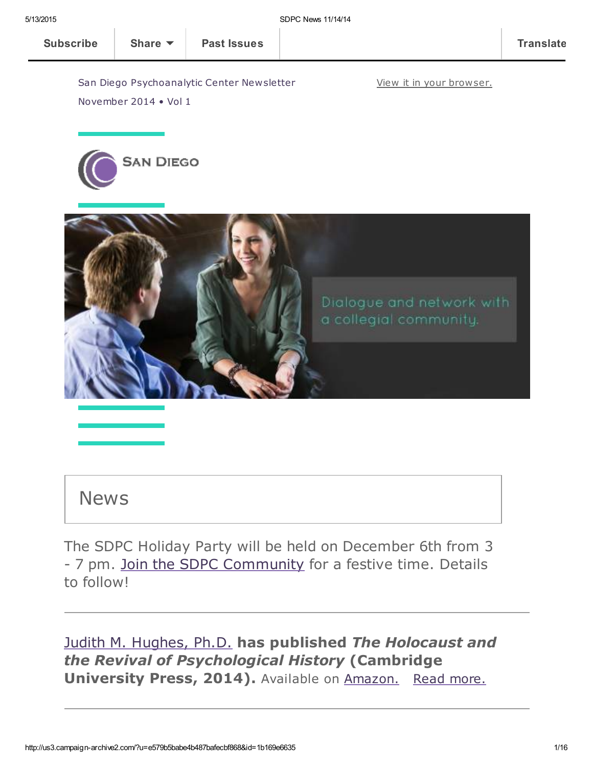View it in your [browser.](http://us3.campaign-archive2.com/?u=e579b5babe4b487bafecbf868&id=1b169e6635&e=[UNIQID])

San Diego Psychoanalytic Center Newsletter

**SAN DIEGO** 

November 2014 • Vol 1



# News

The SDPC Holiday Party will be held on December 6th from 3 - 7 pm. Join the SDPC [Community](http://www.sdpsychoanalyticcenter.org/join-sdpc) for a festive time. Details to follow!

Judith M. [Hughes,](http://www.sdpsychoanalyticcenter.org/members/profiles/11#profile-main) [Ph.D.](http://www.sdpsychoanalyticcenter.org/members/profiles/11#profile-main) has published The Holocaust and the Revival of Psychological History (Cambridge University Press, 2014). Available on [Amazon.](http://www.amazon.com/Holocaust-Revival-Psychological-History/dp/1107690447/ref=sr_1_1?s=books&ie=UTF8&qid=1416015276&sr=1-1&keywords=the+holocaust+and+the+revival+of+psychological+history) Read [more.](#page-4-0)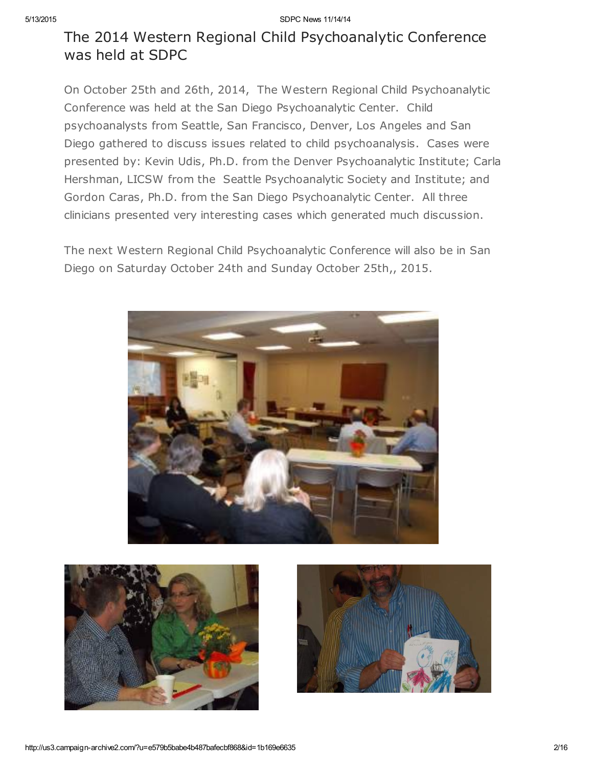# The 2014 Western Regional Child Psychoanalytic Conference was held at SDPC

On October 25th and 26th, 2014, The Western Regional Child Psychoanalytic Conference was held at the San Diego Psychoanalytic Center. Child psychoanalysts from Seattle, San Francisco, Denver, Los Angeles and San Diego gathered to discuss issues related to child psychoanalysis. Cases were presented by: Kevin Udis, Ph.D. from the Denver Psychoanalytic Institute; Carla Hershman, LICSW from the Seattle Psychoanalytic Society and Institute; and Gordon Caras, Ph.D. from the San Diego Psychoanalytic Center. All three clinicians presented very interesting cases which generated much discussion.

The next Western Regional Child Psychoanalytic Conference will also be in San Diego on Saturday October 24th and Sunday October 25th,, 2015.





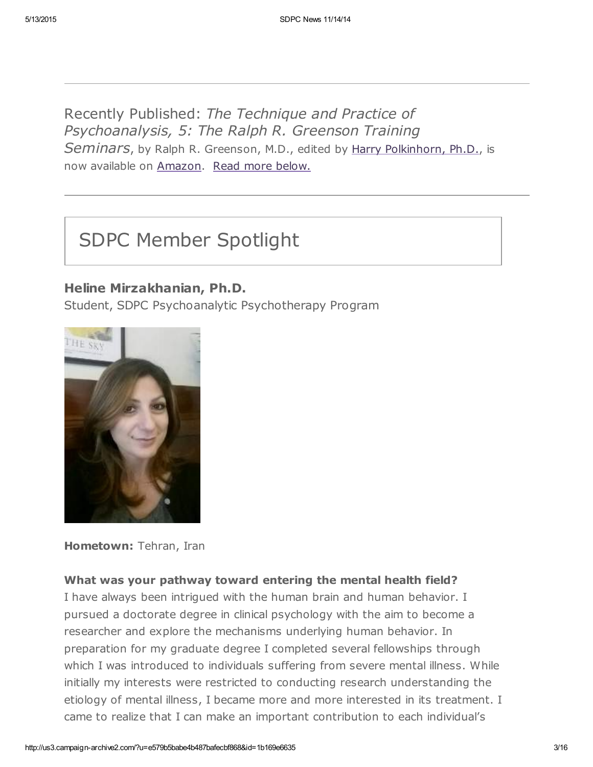Recently Published: The Technique and Practice of Psychoanalysis, 5: The Ralph R. Greenson Training Seminars, by Ralph R. Greenson, M.D., edited by Harry [Polkinhorn,](http://www.sdpsychoanalyticcenter.org/members/profiles/65#profile-main) Ph.D., is now available on [Amazon](http://www.amazon.com/s/ref=nb_sb_noss/185-9006912-7428866?url=search-alias%3Dstripbooks&field-keywords=The%20Technique%20and%20Practice%20of%20Psychoanalysis%2C%205%3A%20The%20Ralph%20R.%20Greenson%20Training%20Seminars%2C%20by%20Ralph%20R.%20Greenson%2C). Read more below.

# SDPC Member Spotlight

### Heline Mirzakhanian, Ph.D.

Student, SDPC Psychoanalytic Psychotherapy Program



Hometown: Tehran, Iran

### What was your pathway toward entering the mental health field?

I have always been intrigued with the human brain and human behavior. I pursued a doctorate degree in clinical psychology with the aim to become a researcher and explore the mechanisms underlying human behavior. In preparation for my graduate degree I completed several fellowships through which I was introduced to individuals suffering from severe mental illness. While initially my interests were restricted to conducting research understanding the etiology of mental illness, I became more and more interested in its treatment. I came to realize that I can make an important contribution to each individual's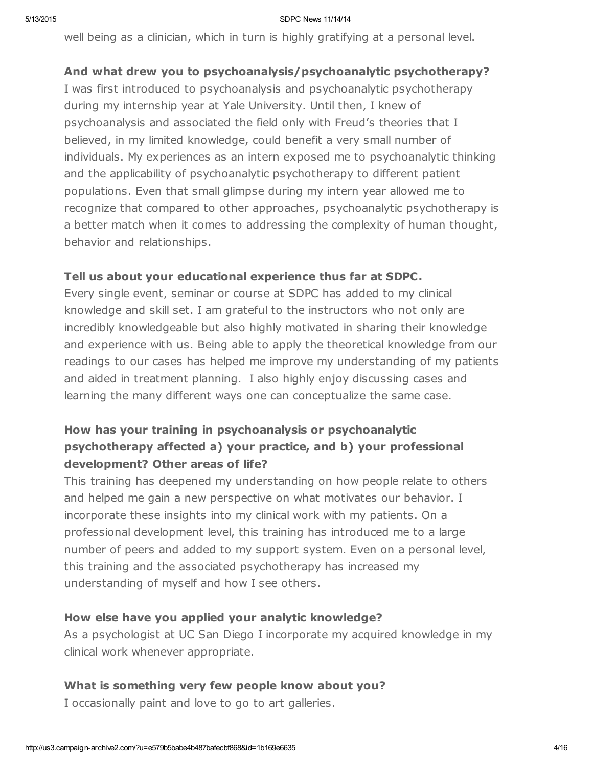well being as a clinician, which in turn is highly gratifying at a personal level.

### And what drew you to psychoanalysis/psychoanalytic psychotherapy?

I was first introduced to psychoanalysis and psychoanalytic psychotherapy during my internship year at Yale University. Until then, I knew of psychoanalysis and associated the field only with Freud's theories that I believed, in my limited knowledge, could benefit a very small number of individuals. My experiences as an intern exposed me to psychoanalytic thinking and the applicability of psychoanalytic psychotherapy to different patient populations. Even that small glimpse during my intern year allowed me to recognize that compared to other approaches, psychoanalytic psychotherapy is a better match when it comes to addressing the complexity of human thought, behavior and relationships.

### Tell us about your educational experience thus far at SDPC.

Every single event, seminar or course at SDPC has added to my clinical knowledge and skill set. I am grateful to the instructors who not only are incredibly knowledgeable but also highly motivated in sharing their knowledge and experience with us. Being able to apply the theoretical knowledge from our readings to our cases has helped me improve my understanding of my patients and aided in treatment planning. I also highly enjoy discussing cases and learning the many different ways one can conceptualize the same case.

### How has your training in psychoanalysis or psychoanalytic psychotherapy affected a) your practice, and b) your professional development? Other areas of life?

This training has deepened my understanding on how people relate to others and helped me gain a new perspective on what motivates our behavior. I incorporate these insights into my clinical work with my patients. On a professional development level, this training has introduced me to a large number of peers and added to my support system. Even on a personal level, this training and the associated psychotherapy has increased my understanding of myself and how I see others.

### How else have you applied your analytic knowledge?

As a psychologist at UC San Diego I incorporate my acquired knowledge in my clinical work whenever appropriate.

### What is something very few people know about you?

I occasionally paint and love to go to art galleries.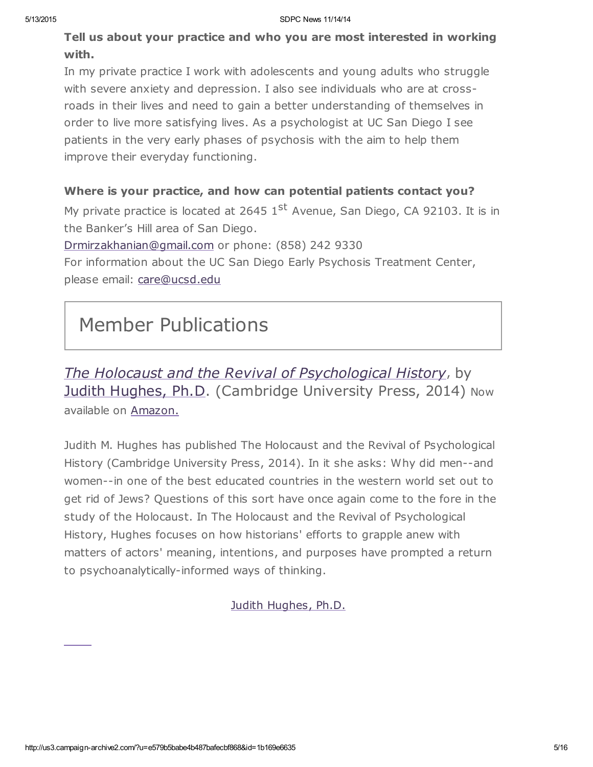Tell us about your practice and who you are most interested in working with.

In my private practice I work with adolescents and young adults who struggle with severe anxiety and depression. I also see individuals who are at crossroads in their lives and need to gain a better understanding of themselves in order to live more satisfying lives. As a psychologist at UC San Diego I see patients in the very early phases of psychosis with the aim to help them improve their everyday functioning.

### Where is your practice, and how can potential patients contact you?

My private practice is located at 2645  $1<sup>st</sup>$  Avenue, San Diego, CA 92103. It is in the Banker's Hill area of San Diego.

[Drmirzakhanian@gmail.com](mailto:Drmirzakhanian@gmail.com) or phone: (858) 242 9330

For information about the UC San Diego Early Psychosis Treatment Center, please email: [care@ucsd.edu](mailto:care@ucsd.edu)

# Member Publications

<span id="page-4-0"></span>The Holocaust and the Revival of Psychological History, by Judith [Hughes,](http://www.sdpsychoanalyticcenter.org/members/profiles/11#profile-main) Ph.D. (Cambridge University Press, 2014) Now available on [Amazon.](http://www.amazon.com/Holocaust-Revival-Psychological-History/dp/1107690447/ref=sr_1_1?s=books&ie=UTF8&qid=1416015276&sr=1-1&keywords=the+holocaust+and+the+revival+of+psychological+history)

Judith M. Hughes has published The Holocaust and the Revival of Psychological History (Cambridge University Press, 2014). In it she asks: Why did men--and women--in one of the best educated countries in the western world set out to get rid of Jews? Questions of this sort have once again come to the fore in the study of the Holocaust. In The Holocaust and the Revival of Psychological History, Hughes focuses on how historians' efforts to grapple anew with matters of actors' meaning, intentions, and purposes have prompted a return to psychoanalytically-informed ways of thinking.

Judith [Hughes,](http://www.sdpsychoanalyticcenter.org/members/profiles/11#profile-main) Ph.D.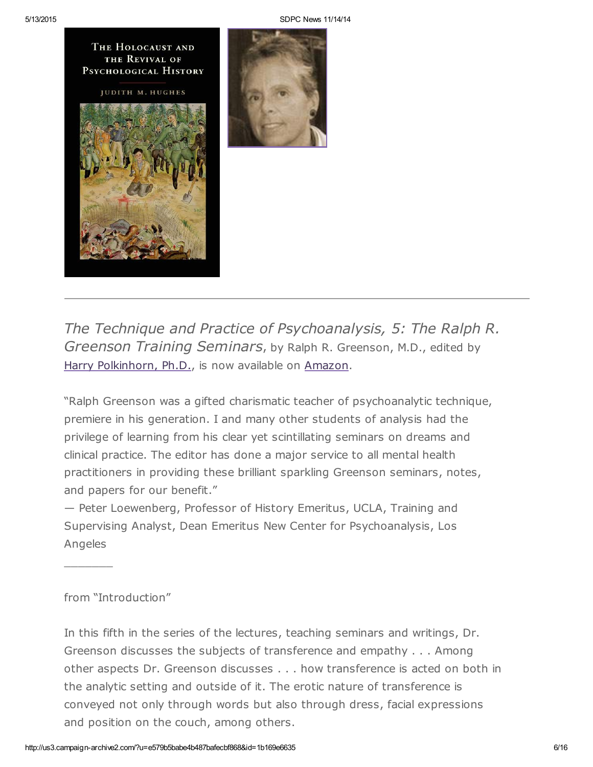



The Technique and Practice of Psychoanalysis, 5: The Ralph R. Greenson Training Seminars, by Ralph R. Greenson, M.D., edited by Harry [Polkinhorn,](http://www.sdpsychoanalyticcenter.org/members/profiles/65#profile-main) Ph.D., is now available on [Amazon.](http://www.amazon.com/Technique-Practice-Psychoanalysis-Greenson-Miscellaneous/dp/1938537068/ref=sr_1_1?s=books&ie=UTF8&qid=1414379704&sr=1-1&keywords=The+Technique+and+Practice+of+Psychoanalysis%2C+5%3A+The+Ralph+R.+Greenson+Training+Seminars%2C+by+Ralph+R.+Greenson%2C)

"Ralph Greenson was a gifted charismatic teacher of psychoanalytic technique, premiere in his generation. I and many other students of analysis had the privilege of learning from his clear yet scintillating seminars on dreams and clinical practice. The editor has done a major service to all mental health practitioners in providing these brilliant sparkling Greenson seminars, notes, and papers for our benefit."

— Peter Loewenberg, Professor of History Emeritus, UCLA, Training and Supervising Analyst, Dean Emeritus New Center for Psychoanalysis, Los Angeles

### from "Introduction"

 $\frac{1}{2}$ 

In this fifth in the series of the lectures, teaching seminars and writings, Dr. Greenson discusses the subjects of transference and empathy . . . Among other aspects Dr. Greenson discusses . . . how transference is acted on both in the analytic setting and outside of it. The erotic nature of transference is conveyed not only through words but also through dress, facial expressions and position on the couch, among others.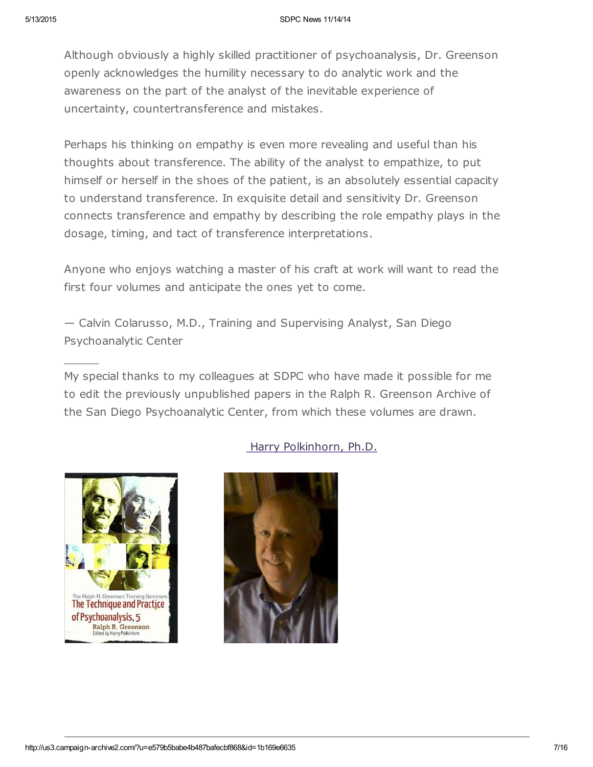Although obviously a highly skilled practitioner of psychoanalysis, Dr. Greenson openly acknowledges the humility necessary to do analytic work and the awareness on the part of the analyst of the inevitable experience of uncertainty, countertransference and mistakes.

Perhaps his thinking on empathy is even more revealing and useful than his thoughts about transference. The ability of the analyst to empathize, to put himself or herself in the shoes of the patient, is an absolutely essential capacity to understand transference. In exquisite detail and sensitivity Dr. Greenson connects transference and empathy by describing the role empathy plays in the dosage, timing, and tact of transference interpretations.

Anyone who enjoys watching a master of his craft at work will want to read the first four volumes and anticipate the ones yet to come.

— Calvin Colarusso, M.D., Training and Supervising Analyst, San Diego Psychoanalytic Center

My special thanks to my colleagues at SDPC who have made it possible for me to edit the previously unpublished papers in the Ralph R. Greenson Archive of the San Diego Psychoanalytic Center, from which these volumes are drawn.



 $\overline{\phantom{a}}$ 

### Harry [Polkinhorn,](http://www.sdpsychoanalyticcenter.org/members/profiles/65#profile-main) Ph.D.

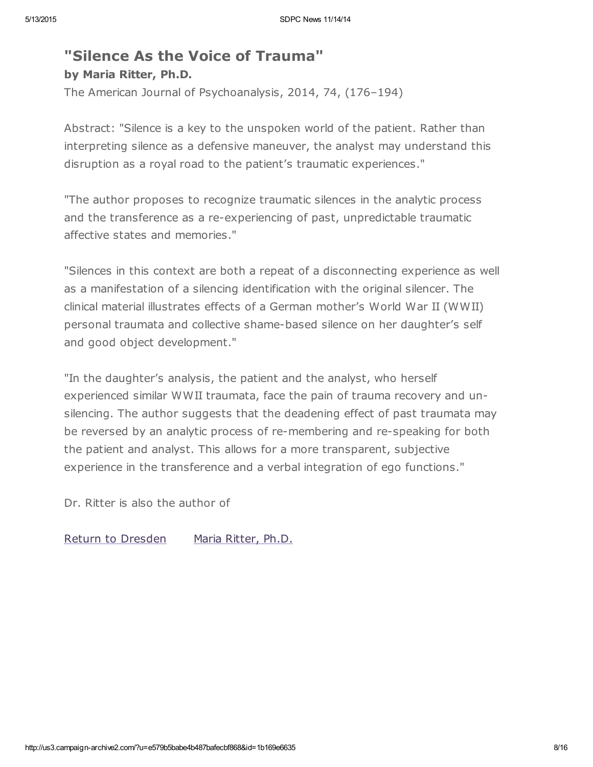# "Silence As the Voice of Trauma" by Maria Ritter, Ph.D.

The American Journal of Psychoanalysis, 2014, 74, (176–194)

Abstract: "Silence is a key to the unspoken world of the patient. Rather than interpreting silence as a defensive maneuver, the analyst may understand this disruption as a royal road to the patient's traumatic experiences."

"The author proposes to recognize traumatic silences in the analytic process and the transference as a re-experiencing of past, unpredictable traumatic affective states and memories."

"Silences in this context are both a repeat of a disconnecting experience as well as a manifestation of a silencing identification with the original silencer. The clinical material illustrates effects of a German mother's World War II (WWII) personal traumata and collective shame-based silence on her daughter's self and good object development."

"In the daughter's analysis, the patient and the analyst, who herself experienced similar WWII traumata, face the pain of trauma recovery and unsilencing. The author suggests that the deadening effect of past traumata may be reversed by an analytic process of re-membering and re-speaking for both the patient and analyst. This allows for a more transparent, subjective experience in the transference and a verbal integration of ego functions."

Dr. Ritter is also the author of

Return to [Dresden](http://www.amazon.com/Return-Dresden-Maria-Ritter/dp/1578065968) Maria [Ritter,](http://www.sdpsychoanalyticcenter.org/members/profiles/3#profile-main) Ph.D.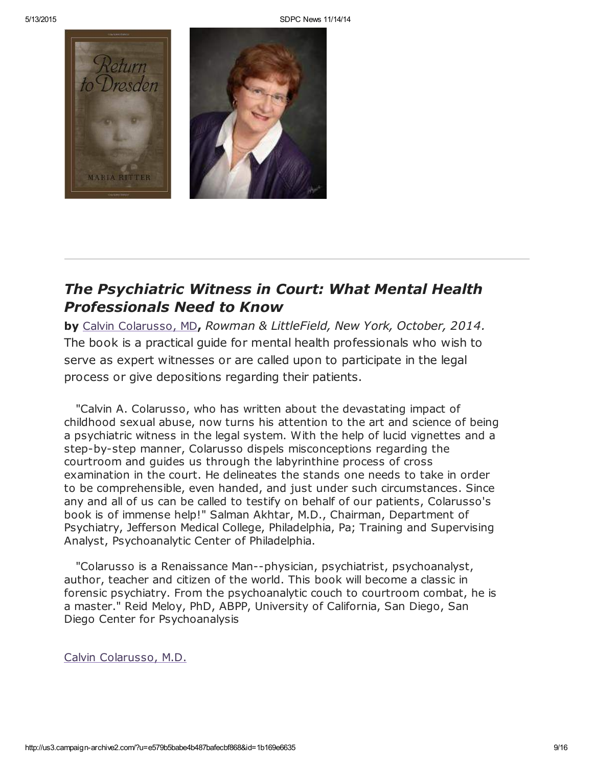

## The Psychiatric Witness in Court: What Mental Health Professionals Need to Know

by Calvin [Colarusso,](http://www.sdpsychoanalyticcenter.org/members/profiles/20#profile-main) MD, Rowman & LittleField, New York, October, 2014. The book is a practical guide for mental health professionals who wish to serve as expert witnesses or are called upon to participate in the legal process or give depositions regarding their patients.

"Calvin A. Colarusso, who has written about the devastating impact of childhood sexual abuse, now turns his attention to the art and science of being a psychiatric witness in the legal system. With the help of lucid vignettes and a step-by-step manner, Colarusso dispels misconceptions regarding the courtroom and guides us through the labyrinthine process of cross examination in the court. He delineates the stands one needs to take in order to be comprehensible, even handed, and just under such circumstances. Since any and all of us can be called to testify on behalf of our patients, Colarusso's book is of immense help!" Salman Akhtar, M.D., Chairman, Department of Psychiatry, Jefferson Medical College, Philadelphia, Pa; Training and Supervising Analyst, Psychoanalytic Center of Philadelphia.

"Colarusso is a Renaissance Man--physician, psychiatrist, psychoanalyst, author, teacher and citizen of the world. This book will become a classic in forensic psychiatry. From the psychoanalytic couch to courtroom combat, he is a master." Reid Meloy, PhD, ABPP, University of California, San Diego, San Diego Center for Psychoanalysis

Calvin [Colarusso,](http://www.sdpsychoanalyticcenter.org/members/profiles/20#profile-main) M.D.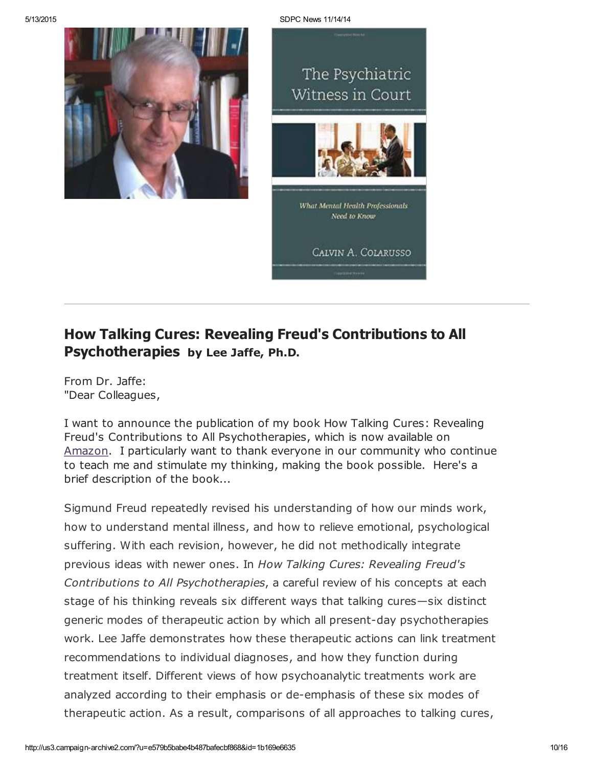



# How Talking Cures: Revealing Freud's Contributions to All Psychotherapies by Lee Jaffe, Ph.D.

From Dr. Jaffe: "Dear Colleagues,

I want to announce the publication of my book How Talking Cures: Revealing Freud's Contributions to All Psychotherapies, which is now available on [Amazon.](http://www.amazon.com/Talking-Cures-Psychotherapies-Dialog---Freud/dp/1442239891/ref=sr_1_1?ie=UTF8&qid=1409944425&sr=8-1&keywords=talking+cures+lee+jaffe) I particularly want to thank everyone in our community who continue to teach me and stimulate my thinking, making the book possible. Here's a brief description of the book...

Sigmund Freud repeatedly revised his understanding of how our minds work, how to understand mental illness, and how to relieve emotional, psychological suffering. With each revision, however, he did not methodically integrate previous ideas with newer ones. In How Talking Cures: Revealing Freud's Contributions to All Psychotherapies, a careful review of his concepts at each stage of his thinking reveals six different ways that talking cures—six distinct generic modes of therapeutic action by which all present-day psychotherapies work. Lee Jaffe demonstrates how these therapeutic actions can link treatment recommendations to individual diagnoses, and how they function during treatment itself. Different views of how psychoanalytic treatments work are analyzed according to their emphasis or de-emphasis of these six modes of therapeutic action. As a result, comparisons of all approaches to talking cures,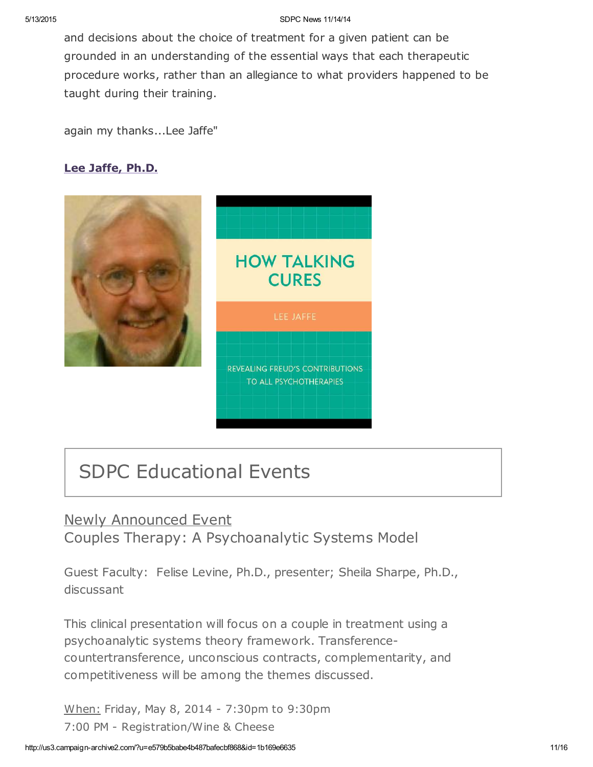and decisions about the choice of treatment for a given patient can be grounded in an understanding of the essential ways that each therapeutic procedure works, rather than an allegiance to what providers happened to be taught during their training.

again my thanks...Lee Jaffe"

### Lee [Jaffe,](http://www.sdpsychoanalyticcenter.org/members/profiles/10#profile-main) Ph.D.



# SDPC Educational Events

# Newly Announced Event Couples Therapy: A Psychoanalytic Systems Model

Guest Faculty: Felise Levine, Ph.D., presenter; Sheila Sharpe, Ph.D., discussant

This clinical presentation will focus on a couple in treatment using a psychoanalytic systems theory framework. Transferencecountertransference, unconscious contracts, complementarity, and competitiveness will be among the themes discussed.

When: Friday, May 8, 2014 - 7:30pm to 9:30pm 7:00 PM - Registration/Wine & Cheese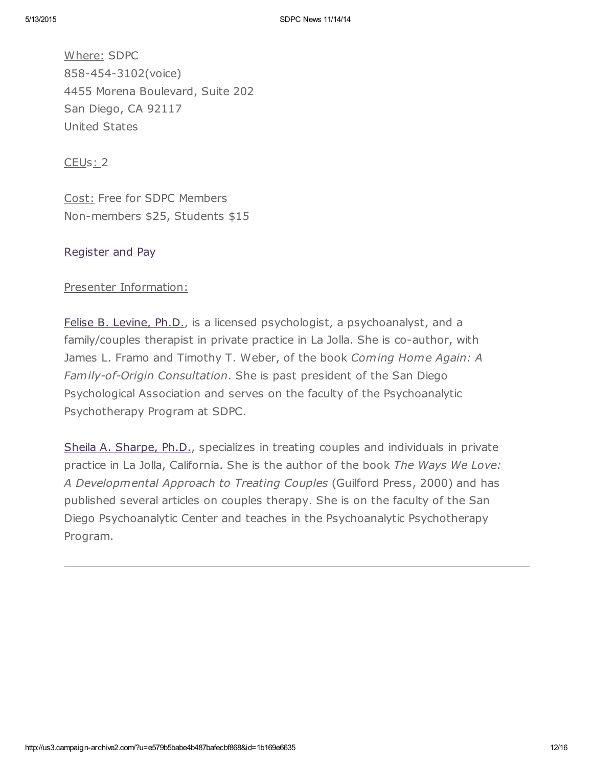Where: SDPC 858-454-3102(voice) 4455 Morena Boulevard, Suite 202 San Diego, CA 92117 United States

CEUs: 2

Cost: Free for SDPC Members Non-members \$25, Students \$15

### [Register](http://www.sdpsychoanalyticcenter.org/register-and-pay-online) and Pay

### Presenter Information:

Felise B. [Levine,](http://www.sdpsychoanalyticcenter.org/members/profiles/82#profile-main) Ph.D., is a licensed psychologist, a psychoanalyst, and a family/couples therapist in private practice in La Jolla. She is co-author, with James L. Framo and Timothy T. Weber, of the book Coming Home Again: A Family-of-Origin Consultation. She is past president of the San Diego Psychological Association and serves on the faculty of the Psychoanalytic Psychotherapy Program at SDPC.

Sheila A. [Sharpe,](http://www.sdpsychoanalyticcenter.org/members/profiles/103#profile-main) Ph.D., specializes in treating couples and individuals in private practice in La Jolla, California. She is the author of the book The Ways We Love: A Developmental Approach to Treating Couples (Guilford Press, 2000) and has published several articles on couples therapy. She is on the faculty of the San Diego Psychoanalytic Center and teaches in the Psychoanalytic Psychotherapy Program.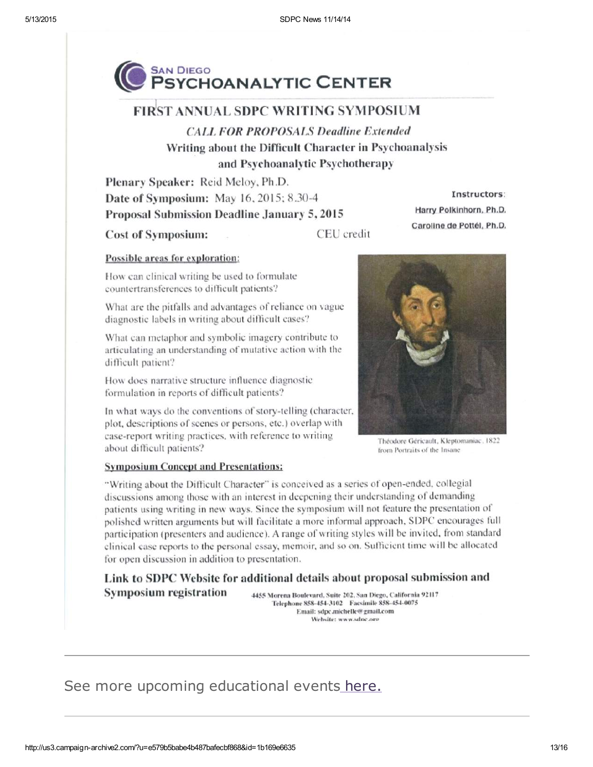

### **FIRST ANNUAL SDPC WRITING SYMPOSIUM**

**CALL FOR PROPOSALS Deadline Extended** Writing about the Difficult Character in Psychoanalysis and Psychoanalytic Psychotherapy

Plenary Speaker: Reid Meloy, Ph.D. Date of Symposium: May 16, 2015; 8.30-4 Proposal Submission Deadline January 5, 2015

**Cost of Symposium:** 

CEU credit

#### Possible areas for exploration:

How can clinical writing be used to formulate countertransferences to difficult patients?

What are the pitfalls and advantages of reliance on vague diagnostic labels in writing about difficult cases?

What can metaphor and symbolic imagery contribute to articulating an understanding of mutative action with the difficult patient?

How does narrative structure influence diagnostic formulation in reports of difficult patients?

In what ways do the conventions of story-telling (character, plot, descriptions of scenes or persons, etc.) overlap with case-report writing practices, with reference to writing about difficult patients?

Instructors:

Harry Polkinhorn, Ph.D.

Caroline de Pottél, Ph.D.

Théodore Géricault, Kleptomaniac, 1822 from Portraits of the Insane

### **Symposium Concept and Presentations:**

"Writing about the Difficult Character" is conceived as a series of open-ended, collegial discussions among those with an interest in deepening their understanding of demanding patients using writing in new ways. Since the symposium will not feature the presentation of polished written arguments but will facilitate a more informal approach, SDPC encourages full participation (presenters and audience). A range of writing styles will be invited, from standard clinical case reports to the personal essay, memoir, and so on. Sufficient time will be allocated for open discussion in addition to presentation.

Link to SDPC Website for additional details about proposal submission and **Symposium registration** 4455 Morena Boulevard, Suite 202, San Diego, California 92117

Telephone 858-454-3102 Facsimile 858-454-0075 Email: sdpc.michelle@gmail.com Website: www.sdnc.oro

# See more upcoming educational events [here.](http://www.sdpsychoanalyticcenter.org/community-connections/upcoming-events)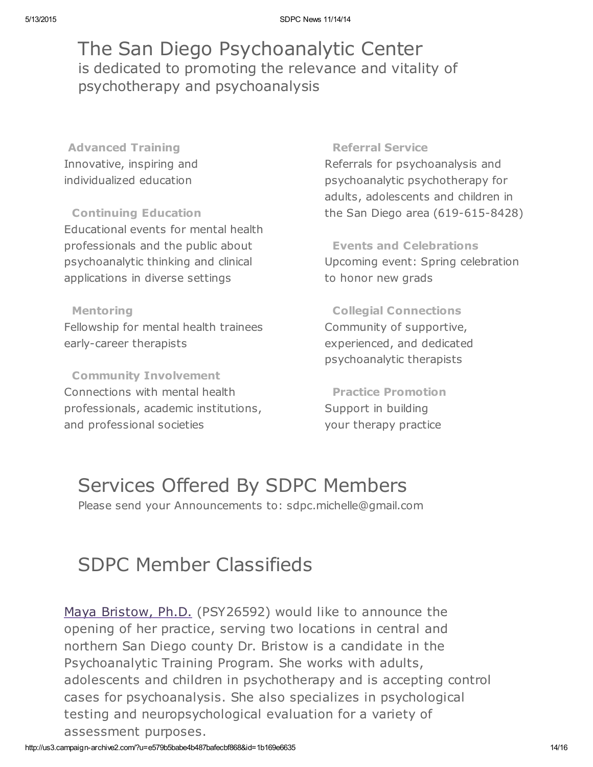# The San Diego Psychoanalytic Center is dedicated to promoting the relevance and vitality of psychotherapy and psychoanalysis

Advanced Training Innovative, inspiring and individualized education

Continuing Education Educational events for mental health professionals and the public about psychoanalytic thinking and clinical applications in diverse settings

# Mentoring

Fellowship for mental health trainees early-career therapists

Community Involvement Connections with mental health professionals, academic institutions, and professional societies

### Referral Service

Referrals for psychoanalysis and psychoanalytic psychotherapy for adults, adolescents and children in the San Diego area (619-615-8428)

Events and Celebrations Upcoming event: Spring celebration to honor new grads

Collegial Connections Community of supportive, experienced, and dedicated psychoanalytic therapists

Practice Promotion Support in building your therapy practice

# Services Offered By SDPC Members

Please send your Announcements to: sdpc.michelle@gmail.com

# SDPC Member Classifieds

Maya [Bristow,](http://www.sdpsychoanalyticcenter.org/members/profiles/121#profile-main) Ph.D. (PSY26592) would like to announce the opening of her practice, serving two locations in central and northern San Diego county Dr. Bristow is a candidate in the Psychoanalytic Training Program. She works with adults, adolescents and children in psychotherapy and is accepting control cases for psychoanalysis. She also specializes in psychological testing and neuropsychological evaluation for a variety of assessment purposes.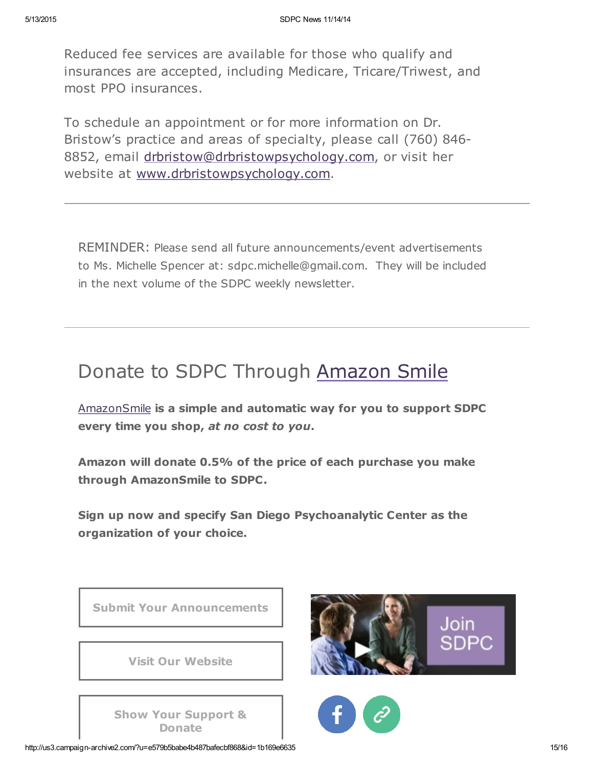Reduced fee services are available for those who qualify and insurances are accepted, including Medicare, Tricare/Triwest, and most PPO insurances.

To schedule an appointment or for more information on Dr. Bristow's practice and areas of specialty, please call (760) 846- 8852, email [drbristow@drbristowpsychology.com,](mailto:drbristow@drbristowpsychology.com) or visit her website at [www.drbristowpsychology.com.](http://www.drbristowpsychology.com/)

REMINDER: Please send all future announcements/event advertisements to Ms. Michelle Spencer at: sdpc.michelle@gmail.com. They will be included in the next volume of the SDPC weekly newsletter.

# Donate to SDPC Through [Amazon](http://www.sdpsychoanalyticcenter.org/node/395#overlay-context=node/395) Smile

[AmazonSmile](http://smile.amazon.com/about) is a simple and automatic way for you to support SDPC every time you shop, at no cost to you.

Amazon will donate 0.5% of the price of each purchase you make through AmazonSmile to SDPC.

Sign up now and specify San Diego Psychoanalytic Center as the organization of your choice.



http://us3.campaign-archive2.com/?u=e579b5babe4b487bafecbf868&id=1b169e6635 15/16